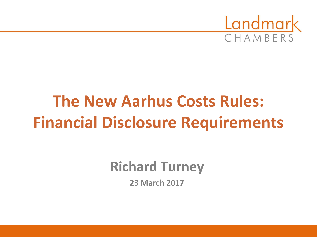

# **The New Aarhus Costs Rules: Financial Disclosure Requirements**

**Richard Turney**

**23 March 2017**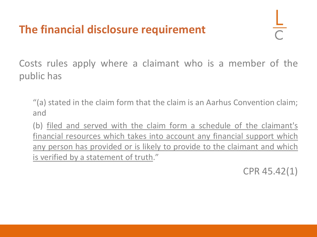#### **The financial disclosure requirement**

Costs rules apply where a claimant who is a member of the public has

"(a) stated in the claim form that the claim is an Aarhus Convention claim; and

(b) filed and served with the claim form a schedule of the claimant's financial resources which takes into account any financial support which any person has provided or is likely to provide to the claimant and which is verified by a statement of truth."

CPR 45.42(1)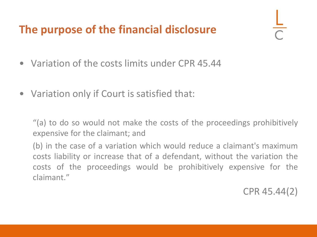#### **The purpose of the financial disclosure**

- Variation of the costs limits under CPR 45.44
- Variation only if Court is satisfied that:

"(a) to do so would not make the costs of the proceedings prohibitively expensive for the claimant; and

(b) in the case of a variation which would reduce a claimant's maximum costs liability or increase that of a defendant, without the variation the costs of the proceedings would be prohibitively expensive for the claimant."

CPR 45.44(2)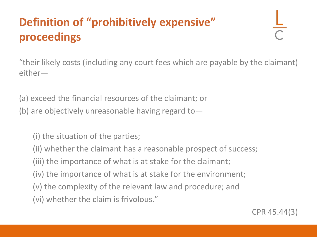## **Definition of "prohibitively expensive" proceedings**

"their likely costs (including any court fees which are payable by the claimant) either—

(a) exceed the financial resources of the claimant; or

(b) are objectively unreasonable having regard to  $-$ 

(i) the situation of the parties;

(ii) whether the claimant has a reasonable prospect of success;

(iii) the importance of what is at stake for the claimant;

(iv) the importance of what is at stake for the environment;

(v) the complexity of the relevant law and procedure; and

(vi) whether the claim is frivolous."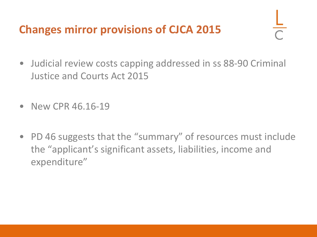#### **Changes mirror provisions of CJCA 2015**

- Judicial review costs capping addressed in ss 88-90 Criminal Justice and Courts Act 2015
- New CPR 46, 16-19
- PD 46 suggests that the "summary" of resources must include the "applicant's significant assets, liabilities, income and expenditure"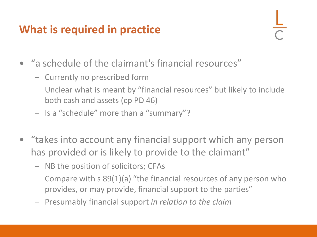#### **What is required in practice**

- "a schedule of the claimant's financial resources"
	- Currently no prescribed form
	- Unclear what is meant by "financial resources" but likely to include both cash and assets (cp PD 46)
	- Is a "schedule" more than a "summary"?
- "takes into account any financial support which any person has provided or is likely to provide to the claimant"
	- NB the position of solicitors; CFAs
	- Compare with s 89(1)(a) "the financial resources of any person who provides, or may provide, financial support to the parties"
	- Presumably financial support *in relation to the claim*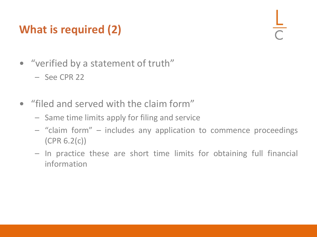### **What is required (2)**

- "verified by a statement of truth"
	- See CPR 22
- "filed and served with the claim form"
	- Same time limits apply for filing and service
	- "claim form" includes any application to commence proceedings (CPR 6.2(c))
	- In practice these are short time limits for obtaining full financial information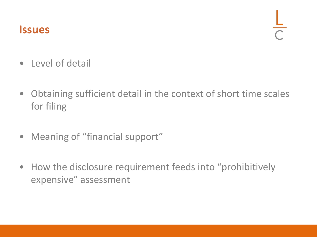#### **Issues**

- Level of detail
- Obtaining sufficient detail in the context of short time scales for filing
- Meaning of "financial support"
- How the disclosure requirement feeds into "prohibitively expensive" assessment